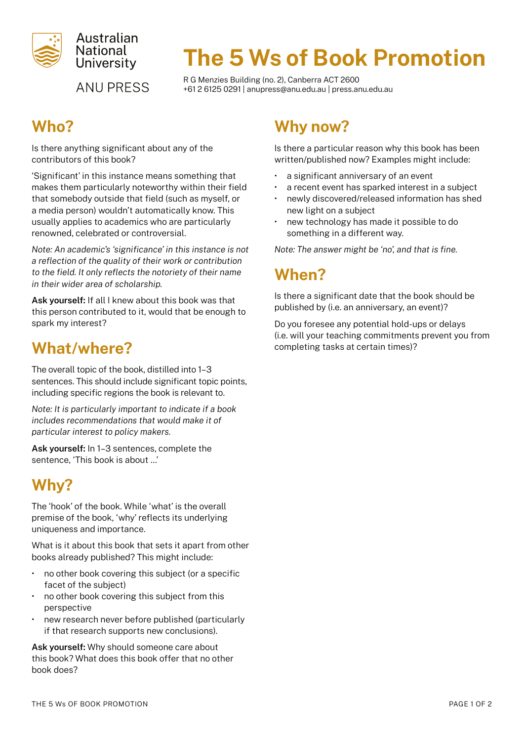

**ANU PRESS** 

# The 5 Ws of Book Promotion

R G Menzies Building (no. 2), Canberra ACT 2600 +61 2 6125 0291 | [anupress@anu.edu.au](mailto:anupress%40anu.edu.au?subject=) | [press.anu.edu.au](http://press.anu.edu.au)

## Who?

Is there anything significant about any of the contributors of this book?

'Significant' in this instance means something that makes them particularly noteworthy within their field that somebody outside that field (such as myself, or a media person) wouldn't automatically know. This usually applies to academics who are particularly renowned, celebrated or controversial.

*Note: An academic's 'significance' in this instance is not a reflection of the quality of their work or contribution to the field. It only reflects the notoriety of their name in their wider area of scholarship.*

Ask yourself: If all I knew about this book was that this person contributed to it, would that be enough to spark my interest?

### What/where?

The overall topic of the book, distilled into 1–3 sentences. This should include significant topic points, including specific regions the book is relevant to.

*Note: It is particularly important to indicate if a book includes recommendations that would make it of particular interest to policy makers.*

Ask yourself: In 1–3 sentences, complete the sentence, 'This book is about …'

# Why?

The 'hook' of the book. While 'what' is the overall premise of the book, 'why' reflects its underlying uniqueness and importance.

What is it about this book that sets it apart from other books already published? This might include:

- no other book covering this subject (or a specific facet of the subject)
- no other book covering this subject from this perspective
- new research never before published (particularly if that research supports new conclusions).

Ask yourself: Why should someone care about this book? What does this book offer that no other book does?

### Why now?

Is there a particular reason why this book has been written/published now? Examples might include:

- a significant anniversary of an event
- a recent event has sparked interest in a subject
- newly discovered/released information has shed new light on a subject
- new technology has made it possible to do something in a different way.

*Note: The answer might be 'no', and that is fine.*

### When?

Is there a significant date that the book should be published by (i.e. an anniversary, an event)?

Do you foresee any potential hold-ups or delays (i.e. will your teaching commitments prevent you from completing tasks at certain times)?